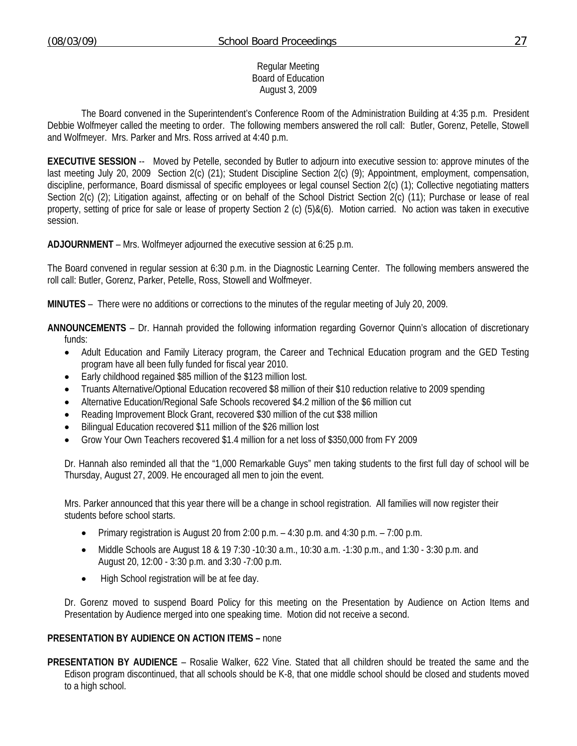### Regular Meeting Board of Education August 3, 2009

 The Board convened in the Superintendent's Conference Room of the Administration Building at 4:35 p.m. President Debbie Wolfmeyer called the meeting to order. The following members answered the roll call: Butler, Gorenz, Petelle, Stowell and Wolfmeyer. Mrs. Parker and Mrs. Ross arrived at 4:40 p.m.

**EXECUTIVE SESSION** -- Moved by Petelle, seconded by Butler to adjourn into executive session to: approve minutes of the last meeting July 20, 2009 Section 2(c) (21); Student Discipline Section 2(c) (9); Appointment, employment, compensation, discipline, performance, Board dismissal of specific employees or legal counsel Section 2(c) (1); Collective negotiating matters Section 2(c) (2); Litigation against, affecting or on behalf of the School District Section 2(c) (11); Purchase or lease of real property, setting of price for sale or lease of property Section 2 (c) (5)&(6). Motion carried. No action was taken in executive session.

**ADJOURNMENT** – Mrs. Wolfmeyer adjourned the executive session at 6:25 p.m.

The Board convened in regular session at 6:30 p.m. in the Diagnostic Learning Center. The following members answered the roll call: Butler, Gorenz, Parker, Petelle, Ross, Stowell and Wolfmeyer.

**MINUTES** – There were no additions or corrections to the minutes of the regular meeting of July 20, 2009.

**ANNOUNCEMENTS** – Dr. Hannah provided the following information regarding Governor Quinn's allocation of discretionary funds:

- Adult Education and Family Literacy program, the Career and Technical Education program and the GED Testing program have all been fully funded for fiscal year 2010.
- Early childhood regained \$85 million of the \$123 million lost.
- Truants Alternative/Optional Education recovered \$8 million of their \$10 reduction relative to 2009 spending
- Alternative Education/Regional Safe Schools recovered \$4.2 million of the \$6 million cut
- Reading Improvement Block Grant, recovered \$30 million of the cut \$38 million
- Bilingual Education recovered \$11 million of the \$26 million lost
- Grow Your Own Teachers recovered \$1.4 million for a net loss of \$350,000 from FY 2009

Dr. Hannah also reminded all that the "1,000 Remarkable Guys" men taking students to the first full day of school will be Thursday, August 27, 2009. He encouraged all men to join the event.

Mrs. Parker announced that this year there will be a change in school registration. All families will now register their students before school starts.

- Primary registration is August 20 from 2:00 p.m. 4:30 p.m. and 4:30 p.m. 7:00 p.m.
- Middle Schools are August 18 & 19 7:30 -10:30 a.m., 10:30 a.m. -1:30 p.m., and 1:30 3:30 p.m. and August 20, 12:00 - 3:30 p.m. and 3:30 -7:00 p.m.
- High School registration will be at fee day.

Dr. Gorenz moved to suspend Board Policy for this meeting on the Presentation by Audience on Action Items and Presentation by Audience merged into one speaking time. Motion did not receive a second.

## **PRESENTATION BY AUDIENCE ON ACTION ITEMS –** none

**PRESENTATION BY AUDIENCE** – Rosalie Walker, 622 Vine. Stated that all children should be treated the same and the Edison program discontinued, that all schools should be K-8, that one middle school should be closed and students moved to a high school.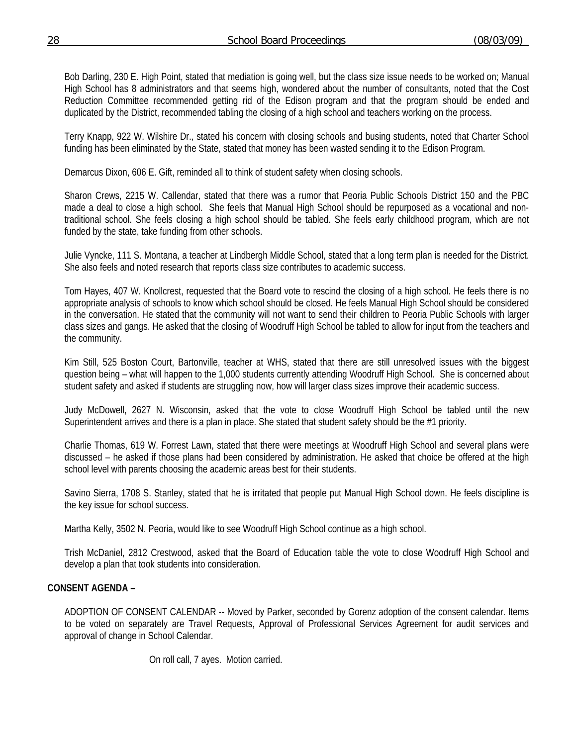Bob Darling, 230 E. High Point, stated that mediation is going well, but the class size issue needs to be worked on; Manual High School has 8 administrators and that seems high, wondered about the number of consultants, noted that the Cost Reduction Committee recommended getting rid of the Edison program and that the program should be ended and duplicated by the District, recommended tabling the closing of a high school and teachers working on the process.

 Terry Knapp, 922 W. Wilshire Dr., stated his concern with closing schools and busing students, noted that Charter School funding has been eliminated by the State, stated that money has been wasted sending it to the Edison Program.

Demarcus Dixon, 606 E. Gift, reminded all to think of student safety when closing schools.

 Sharon Crews, 2215 W. Callendar, stated that there was a rumor that Peoria Public Schools District 150 and the PBC made a deal to close a high school. She feels that Manual High School should be repurposed as a vocational and nontraditional school. She feels closing a high school should be tabled. She feels early childhood program, which are not funded by the state, take funding from other schools.

 Julie Vyncke, 111 S. Montana, a teacher at Lindbergh Middle School, stated that a long term plan is needed for the District. She also feels and noted research that reports class size contributes to academic success.

 Tom Hayes, 407 W. Knollcrest, requested that the Board vote to rescind the closing of a high school. He feels there is no appropriate analysis of schools to know which school should be closed. He feels Manual High School should be considered in the conversation. He stated that the community will not want to send their children to Peoria Public Schools with larger class sizes and gangs. He asked that the closing of Woodruff High School be tabled to allow for input from the teachers and the community.

Kim Still, 525 Boston Court, Bartonville, teacher at WHS, stated that there are still unresolved issues with the biggest question being – what will happen to the 1,000 students currently attending Woodruff High School. She is concerned about student safety and asked if students are struggling now, how will larger class sizes improve their academic success.

Judy McDowell, 2627 N. Wisconsin, asked that the vote to close Woodruff High School be tabled until the new Superintendent arrives and there is a plan in place. She stated that student safety should be the #1 priority.

Charlie Thomas, 619 W. Forrest Lawn, stated that there were meetings at Woodruff High School and several plans were discussed – he asked if those plans had been considered by administration. He asked that choice be offered at the high school level with parents choosing the academic areas best for their students.

Savino Sierra, 1708 S. Stanley, stated that he is irritated that people put Manual High School down. He feels discipline is the key issue for school success.

Martha Kelly, 3502 N. Peoria, would like to see Woodruff High School continue as a high school.

Trish McDaniel, 2812 Crestwood, asked that the Board of Education table the vote to close Woodruff High School and develop a plan that took students into consideration.

## **CONSENT AGENDA –**

ADOPTION OF CONSENT CALENDAR -- Moved by Parker, seconded by Gorenz adoption of the consent calendar. Items to be voted on separately are Travel Requests, Approval of Professional Services Agreement for audit services and approval of change in School Calendar.

On roll call, 7 ayes. Motion carried.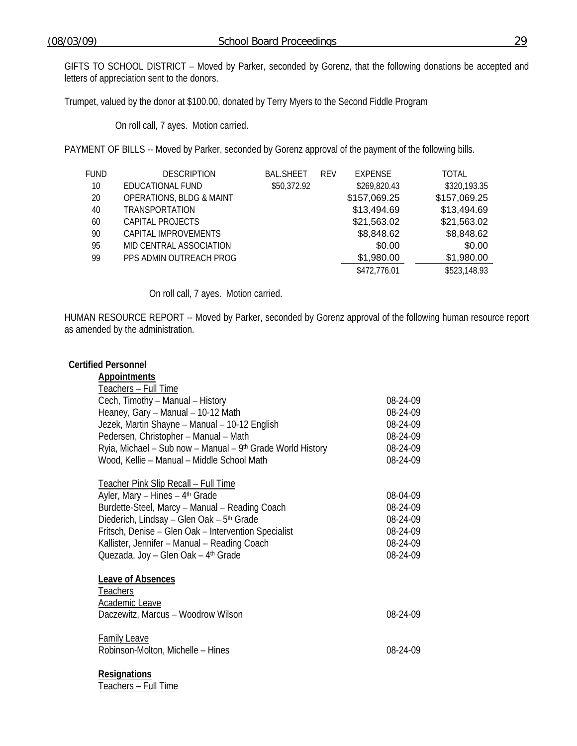GIFTS TO SCHOOL DISTRICT – Moved by Parker, seconded by Gorenz, that the following donations be accepted and letters of appreciation sent to the donors.

Trumpet, valued by the donor at \$100.00, donated by Terry Myers to the Second Fiddle Program

On roll call, 7 ayes. Motion carried.

PAYMENT OF BILLS -- Moved by Parker, seconded by Gorenz approval of the payment of the following bills.

| FUND | <b>DESCRIPTION</b>                  | <b>BAL.SHEET</b> | <b>REV</b> | <b>EXPENSE</b> | <b>TOTAL</b> |
|------|-------------------------------------|------------------|------------|----------------|--------------|
| 10   | EDUCATIONAL FUND                    | \$50,372.92      |            | \$269,820.43   | \$320,193.35 |
| 20   | <b>OPERATIONS, BLDG &amp; MAINT</b> |                  |            | \$157,069.25   | \$157,069.25 |
| 40   | <b>TRANSPORTATION</b>               |                  |            | \$13,494.69    | \$13,494.69  |
| 60   | CAPITAL PROJECTS                    |                  |            | \$21,563.02    | \$21,563.02  |
| 90   | CAPITAL IMPROVEMENTS                |                  |            | \$8,848.62     | \$8,848.62   |
| 95   | MID CENTRAL ASSOCIATION             |                  |            | \$0.00         | \$0.00       |
| 99   | PPS ADMIN OUTREACH PROG             |                  |            | \$1,980.00     | \$1,980.00   |
|      |                                     |                  |            | \$472,776.01   | \$523,148.93 |
|      |                                     |                  |            |                |              |

On roll call, 7 ayes. Motion carried.

HUMAN RESOURCE REPORT -- Moved by Parker, seconded by Gorenz approval of the following human resource report as amended by the administration.

## **Certified Personnel**

| <b>Appointments</b>                                                                                                                                                                                                                                                                                                                                  |                                                                      |
|------------------------------------------------------------------------------------------------------------------------------------------------------------------------------------------------------------------------------------------------------------------------------------------------------------------------------------------------------|----------------------------------------------------------------------|
| Teachers - Full Time                                                                                                                                                                                                                                                                                                                                 |                                                                      |
| Cech, Timothy - Manual - History                                                                                                                                                                                                                                                                                                                     | 08-24-09                                                             |
| Heaney, Gary - Manual - 10-12 Math                                                                                                                                                                                                                                                                                                                   | 08-24-09                                                             |
| Jezek, Martin Shayne - Manual - 10-12 English                                                                                                                                                                                                                                                                                                        | 08-24-09                                                             |
| Pedersen, Christopher - Manual - Math                                                                                                                                                                                                                                                                                                                | 08-24-09                                                             |
| Ryia, Michael - Sub now - Manual - 9th Grade World History                                                                                                                                                                                                                                                                                           | 08-24-09                                                             |
| Wood, Kellie - Manual - Middle School Math                                                                                                                                                                                                                                                                                                           | 08-24-09                                                             |
| <u>Teacher Pink Slip Recall - Full Time</u><br>Ayler, Mary - Hines - 4th Grade<br>Burdette-Steel, Marcy - Manual - Reading Coach<br>Diederich, Lindsay - Glen Oak - 5 <sup>th</sup> Grade<br>Fritsch, Denise - Glen Oak - Intervention Specialist<br>Kallister, Jennifer - Manual - Reading Coach<br>Quezada, Joy - Glen Oak - 4 <sup>th</sup> Grade | 08-04-09<br>08-24-09<br>08-24-09<br>08-24-09<br>08-24-09<br>08-24-09 |
| Leave of Absences<br><b>Teachers</b>                                                                                                                                                                                                                                                                                                                 |                                                                      |
| Academic Leave<br>Daczewitz, Marcus – Woodrow Wilson                                                                                                                                                                                                                                                                                                 | 08-24-09                                                             |
| <b>Family Leave</b><br>Robinson-Molton, Michelle - Hines                                                                                                                                                                                                                                                                                             | 08-24-09                                                             |
|                                                                                                                                                                                                                                                                                                                                                      |                                                                      |

**Resignations**

Teachers – Full Time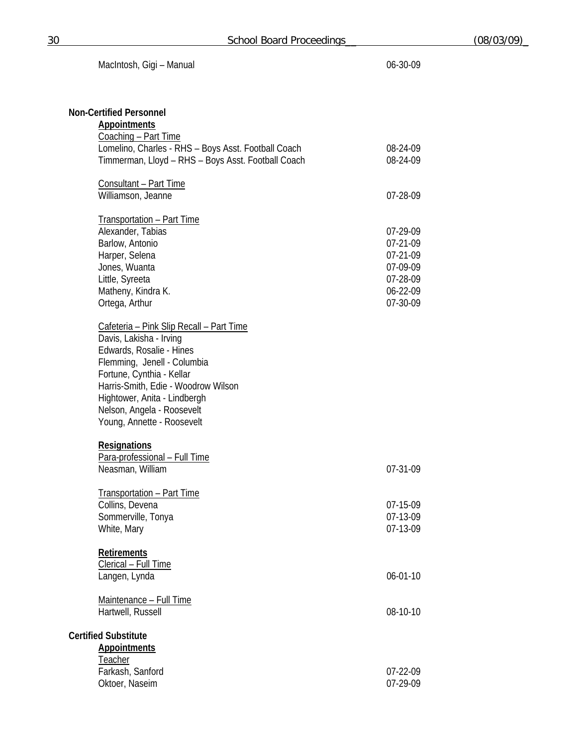| MacIntosh, Gigi - Manual                            | 06-30-09       |
|-----------------------------------------------------|----------------|
|                                                     |                |
| <b>Non-Certified Personnel</b>                      |                |
| <b>Appointments</b>                                 |                |
| Coaching - Part Time                                |                |
| Lomelino, Charles - RHS - Boys Asst. Football Coach | 08-24-09       |
| Timmerman, Lloyd - RHS - Boys Asst. Football Coach  | 08-24-09       |
| Consultant - Part Time                              |                |
| Williamson, Jeanne                                  | 07-28-09       |
| <b>Transportation - Part Time</b>                   |                |
| Alexander, Tabias                                   | 07-29-09       |
| Barlow, Antonio                                     | 07-21-09       |
| Harper, Selena                                      | 07-21-09       |
| Jones, Wuanta                                       | 07-09-09       |
| Little, Syreeta                                     | 07-28-09       |
| Matheny, Kindra K.                                  | 06-22-09       |
| Ortega, Arthur                                      | 07-30-09       |
| <u> Cafeteria – Pink Slip Recall – Part Time</u>    |                |
| Davis, Lakisha - Irving                             |                |
| Edwards, Rosalie - Hines                            |                |
| Flemming, Jenell - Columbia                         |                |
| Fortune, Cynthia - Kellar                           |                |
| Harris-Smith, Edie - Woodrow Wilson                 |                |
| Hightower, Anita - Lindbergh                        |                |
| Nelson, Angela - Roosevelt                          |                |
| Young, Annette - Roosevelt                          |                |
| <b>Resignations</b>                                 |                |
| Para-professional - Full Time                       |                |
| Neasman, William                                    | 07-31-09       |
| <b>Transportation - Part Time</b>                   |                |
| Collins, Devena                                     | 07-15-09       |
| Sommerville, Tonya                                  | 07-13-09       |
| White, Mary                                         | 07-13-09       |
| <b>Retirements</b>                                  |                |
| Clerical - Full Time                                |                |
| Langen, Lynda                                       | $06 - 01 - 10$ |
| Maintenance - Full Time                             |                |
| Hartwell, Russell                                   | 08-10-10       |
| <b>Certified Substitute</b>                         |                |
| <b>Appointments</b>                                 |                |
| <b>Teacher</b>                                      |                |
| Farkash, Sanford                                    | 07-22-09       |
| Oktoer, Naseim                                      | 07-29-09       |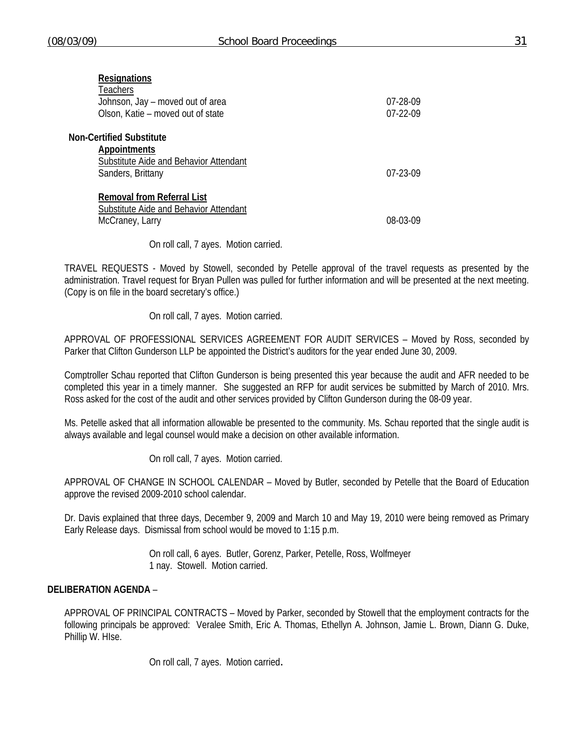| <b>Resignations</b><br>Teachers<br>Johnson, Jay – moved out of area<br>Olson, Katie - moved out of state       | 07-28-09<br>$07-22-09$ |
|----------------------------------------------------------------------------------------------------------------|------------------------|
| <b>Non-Certified Substitute</b><br>Appointments<br>Substitute Aide and Behavior Attendant<br>Sanders, Brittany | $07-23-09$             |
| <b>Removal from Referral List</b><br>Substitute Aide and Behavior Attendant<br>McCraney, Larry                 | 08-03-09               |

On roll call, 7 ayes. Motion carried.

TRAVEL REQUESTS - Moved by Stowell, seconded by Petelle approval of the travel requests as presented by the administration. Travel request for Bryan Pullen was pulled for further information and will be presented at the next meeting. (Copy is on file in the board secretary's office.)

On roll call, 7 ayes. Motion carried.

APPROVAL OF PROFESSIONAL SERVICES AGREEMENT FOR AUDIT SERVICES – Moved by Ross, seconded by Parker that Clifton Gunderson LLP be appointed the District's auditors for the year ended June 30, 2009.

Comptroller Schau reported that Clifton Gunderson is being presented this year because the audit and AFR needed to be completed this year in a timely manner. She suggested an RFP for audit services be submitted by March of 2010. Mrs. Ross asked for the cost of the audit and other services provided by Clifton Gunderson during the 08-09 year.

Ms. Petelle asked that all information allowable be presented to the community. Ms. Schau reported that the single audit is always available and legal counsel would make a decision on other available information.

On roll call, 7 ayes. Motion carried.

APPROVAL OF CHANGE IN SCHOOL CALENDAR – Moved by Butler, seconded by Petelle that the Board of Education approve the revised 2009-2010 school calendar.

Dr. Davis explained that three days, December 9, 2009 and March 10 and May 19, 2010 were being removed as Primary Early Release days. Dismissal from school would be moved to 1:15 p.m.

> On roll call, 6 ayes. Butler, Gorenz, Parker, Petelle, Ross, Wolfmeyer 1 nay. Stowell. Motion carried.

## **DELIBERATION AGENDA** –

 APPROVAL OF PRINCIPAL CONTRACTS – Moved by Parker, seconded by Stowell that the employment contracts for the following principals be approved: Veralee Smith, Eric A. Thomas, Ethellyn A. Johnson, Jamie L. Brown, Diann G. Duke, Phillip W. HIse.

On roll call, 7 ayes. Motion carried.